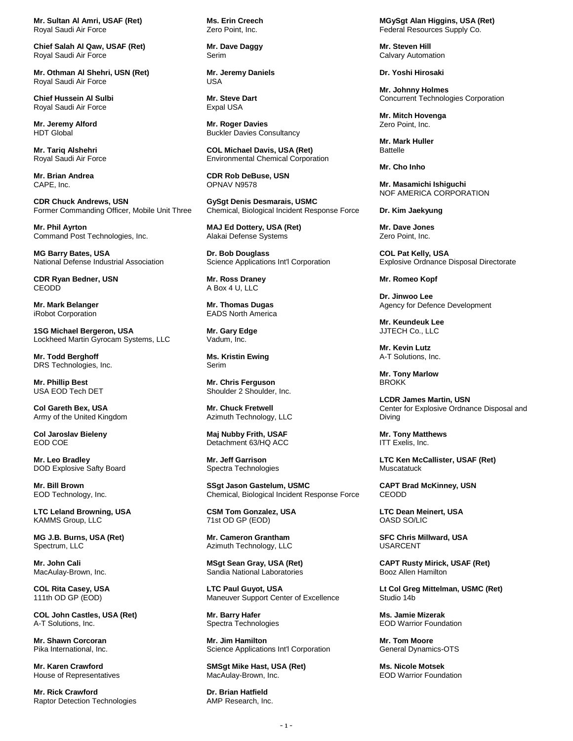**Mr. Sultan Al Amri, USAF (Ret)** Royal Saudi Air Force

**Chief Salah Al Qaw, USAF (Ret)** Royal Saudi Air Force

**Mr. Othman Al Shehri, USN (Ret)** Royal Saudi Air Force

**Chief Hussein Al Sulbi** Royal Saudi Air Force

**Mr. Jeremy Alford** HDT Global

**Mr. Tariq Alshehri** Royal Saudi Air Force

**Mr. Brian Andrea** CAPE, Inc.

**CDR Chuck Andrews, USN** Former Commanding Officer, Mobile Unit Three

**Mr. Phil Ayrton** Command Post Technologies, Inc.

**MG Barry Bates, USA** National Defense Industrial Association

**CDR Ryan Bedner, USN** CEODD

**Mr. Mark Belanger** iRobot Corporation

**1SG Michael Bergeron, USA** Lockheed Martin Gyrocam Systems, LLC

**Mr. Todd Berghoff** DRS Technologies, Inc.

**Mr. Phillip Best** USA EOD Tech DET

**Col Gareth Bex, USA** Army of the United Kingdom

**Col Jaroslav Bieleny** EOD COE

**Mr. Leo Bradley** DOD Explosive Safty Board

**Mr. Bill Brown** EOD Technology, Inc.

**LTC Leland Browning, USA** KAMMS Group, LLC

**MG J.B. Burns, USA (Ret)** Spectrum, LLC

**Mr. John Cali** MacAulay-Brown, Inc.

**COL Rita Casey, USA** 111th OD GP (EOD)

**COL John Castles, USA (Ret)** A-T Solutions, Inc.

**Mr. Shawn Corcoran** Pika International, Inc.

**Mr. Karen Crawford** House of Representatives

**Mr. Rick Crawford** Raptor Detection Technologies **Ms. Erin Creech** Zero Point, Inc.

**Mr. Dave Daggy** Serim

**Mr. Jeremy Daniels** USA

**Mr. Steve Dart** Expal USA

**Mr. Roger Davies** Buckler Davies Consultancy

**COL Michael Davis, USA (Ret)** Environmental Chemical Corporation

**CDR Rob DeBuse, USN** OPNAV N9578

**GySgt Denis Desmarais, USMC** Chemical, Biological Incident Response Force

**MAJ Ed Dottery, USA (Ret)** Alakai Defense Systems

**Dr. Bob Douglass** Science Applications Int'l Corporation

**Mr. Ross Draney** A Box 4 U, LLC

**Mr. Thomas Dugas** EADS North America

**Mr. Gary Edge** Vadum, Inc.

**Ms. Kristin Ewing** Serim

**Mr. Chris Ferguson** Shoulder 2 Shoulder, Inc.

**Mr. Chuck Fretwell** Azimuth Technology, LLC

**Maj Nubby Frith, USAF** Detachment 63/HQ ACC

**Mr. Jeff Garrison** Spectra Technologies

**SSgt Jason Gastelum, USMC** Chemical, Biological Incident Response Force

**CSM Tom Gonzalez, USA** 71st OD GP (EOD)

**Mr. Cameron Grantham** Azimuth Technology, LLC

**MSgt Sean Gray, USA (Ret)** Sandia National Laboratories

**LTC Paul Guyot, USA** Maneuver Support Center of Excellence

**Mr. Barry Hafer** Spectra Technologies

**Mr. Jim Hamilton** Science Applications Int'l Corporation

**SMSgt Mike Hast, USA (Ret)** MacAulay-Brown, Inc.

**Dr. Brian Hatfield** AMP Research, Inc. **MGySgt Alan Higgins, USA (Ret)** Federal Resources Supply Co.

**Mr. Steven Hill** Calvary Automation

**Dr. Yoshi Hirosaki**

**Mr. Johnny Holmes** Concurrent Technologies Corporation

**Mr. Mitch Hovenga** Zero Point, Inc.

**Mr. Mark Huller Battelle** 

**Mr. Cho Inho**

**Mr. Masamichi Ishiguchi** NOF AMERICA CORPORATION

**Dr. Kim Jaekyung**

**Mr. Dave Jones** Zero Point, Inc.

**COL Pat Kelly, USA** Explosive Ordnance Disposal Directorate

**Mr. Romeo Kopf**

**Dr. Jinwoo Lee** Agency for Defence Development

**Mr. Keundeuk Lee** JJTECH Co., LLC

**Mr. Kevin Lutz** A-T Solutions, Inc.

**Mr. Tony Marlow** BROKK

**LCDR James Martin, USN** Center for Explosive Ordnance Disposal and Diving

**Mr. Tony Matthews** ITT Exelis, Inc.

**LTC Ken McCallister, USAF (Ret) Muscatatuck** 

**CAPT Brad McKinney, USN** CEODD

**LTC Dean Meinert, USA** OASD SO/LIC

**SFC Chris Millward, USA** USARCENT

**CAPT Rusty Mirick, USAF (Ret)** Booz Allen Hamilton

**Lt Col Greg Mittelman, USMC (Ret)** Studio 14b

**Ms. Jamie Mizerak** EOD Warrior Foundation

**Mr. Tom Moore** General Dynamics-OTS

**Ms. Nicole Motsek** EOD Warrior Foundation